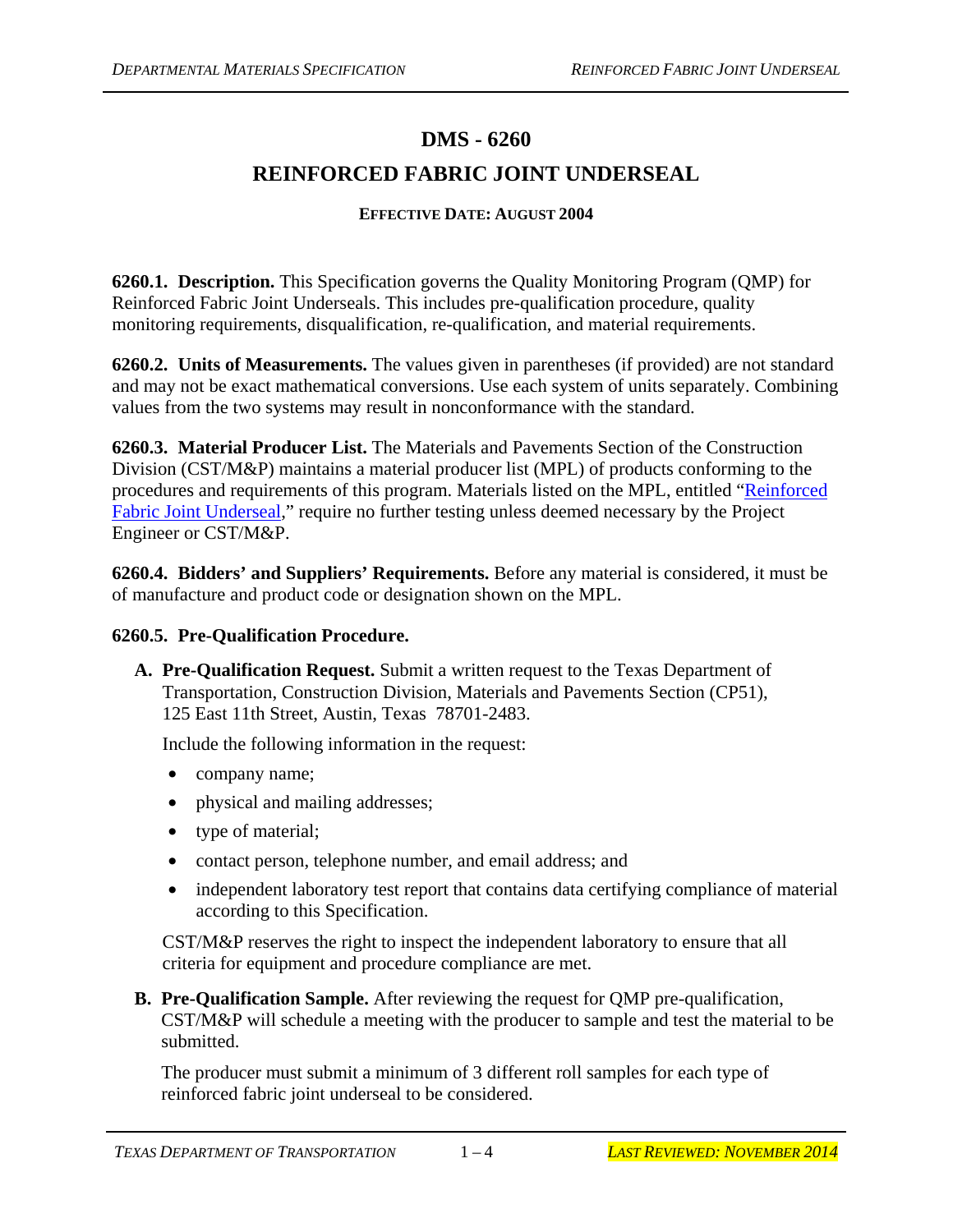## **DMS - 6260 REINFORCED FABRIC JOINT UNDERSEAL**

## **EFFECTIVE DATE: AUGUST 2004**

**6260.1. Description.** This Specification governs the Quality Monitoring Program (QMP) for Reinforced Fabric Joint Underseals. This includes pre-qualification procedure, quality monitoring requirements, disqualification, re-qualification, and material requirements.

**6260.2. Units of Measurements.** The values given in parentheses (if provided) are not standard and may not be exact mathematical conversions. Use each system of units separately. Combining values from the two systems may result in nonconformance with the standard.

**6260.3. Material Producer List.** The Materials and Pavements Section of the Construction Division (CST/M&P) maintains a material producer list (MPL) of products conforming to the procedures and requirements of this program. Materials listed on the MPL, entitled "[Reinforced](ftp://ftp.dot.state.tx.us/pub/txdot-info/cmd/mpl/jtundrsl.pdf)  [Fabric Joint Underseal,](ftp://ftp.dot.state.tx.us/pub/txdot-info/cmd/mpl/jtundrsl.pdf)" require no further testing unless deemed necessary by the Project Engineer or CST/M&P.

**6260.4. Bidders' and Suppliers' Requirements.** Before any material is considered, it must be of manufacture and product code or designation shown on the MPL.

## **6260.5. Pre-Qualification Procedure.**

**A. Pre-Qualification Request.** Submit a written request to the Texas Department of Transportation, Construction Division, Materials and Pavements Section (CP51), 125 East 11th Street, Austin, Texas 78701-2483.

Include the following information in the request:

- company name;
- physical and mailing addresses;
- type of material;
- contact person, telephone number, and email address; and
- independent laboratory test report that contains data certifying compliance of material according to this Specification.

CST/M&P reserves the right to inspect the independent laboratory to ensure that all criteria for equipment and procedure compliance are met.

**B. Pre-Qualification Sample.** After reviewing the request for QMP pre-qualification, CST/M&P will schedule a meeting with the producer to sample and test the material to be submitted.

The producer must submit a minimum of 3 different roll samples for each type of reinforced fabric joint underseal to be considered.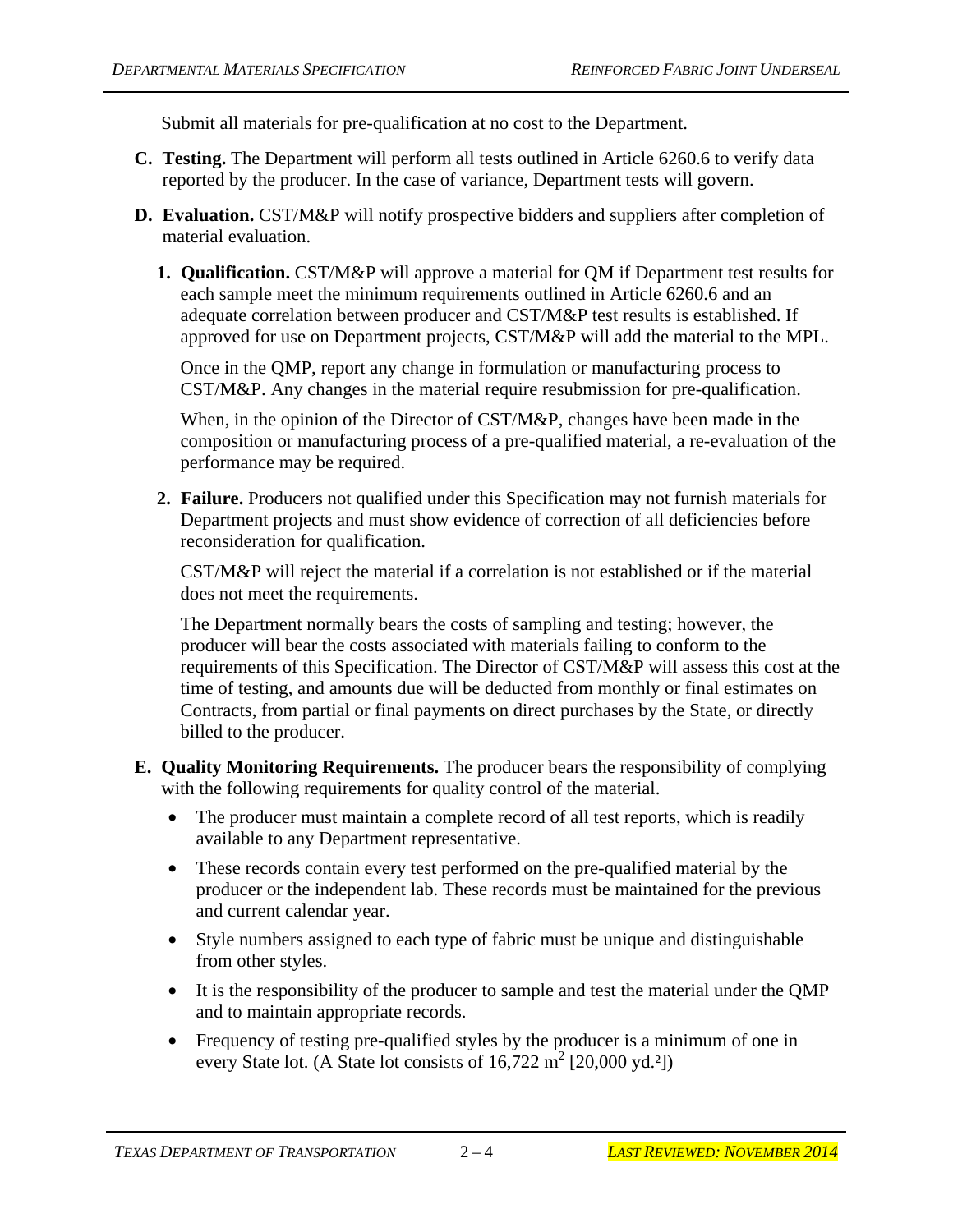Submit all materials for pre-qualification at no cost to the Department.

- **C. Testing.** The Department will perform all tests outlined in Article 6260.6 to verify data reported by the producer. In the case of variance, Department tests will govern.
- **D. Evaluation.** CST/M&P will notify prospective bidders and suppliers after completion of material evaluation.
	- **1. Qualification.** CST/M&P will approve a material for QM if Department test results for each sample meet the minimum requirements outlined in Article 6260.6 and an adequate correlation between producer and CST/M&P test results is established. If approved for use on Department projects, CST/M&P will add the material to the MPL.

Once in the QMP, report any change in formulation or manufacturing process to CST/M&P. Any changes in the material require resubmission for pre-qualification.

When, in the opinion of the Director of CST/M&P, changes have been made in the composition or manufacturing process of a pre-qualified material, a re-evaluation of the performance may be required.

**2. Failure.** Producers not qualified under this Specification may not furnish materials for Department projects and must show evidence of correction of all deficiencies before reconsideration for qualification.

CST/M&P will reject the material if a correlation is not established or if the material does not meet the requirements.

The Department normally bears the costs of sampling and testing; however, the producer will bear the costs associated with materials failing to conform to the requirements of this Specification. The Director of CST/M&P will assess this cost at the time of testing, and amounts due will be deducted from monthly or final estimates on Contracts, from partial or final payments on direct purchases by the State, or directly billed to the producer.

- **E. Quality Monitoring Requirements.** The producer bears the responsibility of complying with the following requirements for quality control of the material.
	- The producer must maintain a complete record of all test reports, which is readily available to any Department representative.
	- These records contain every test performed on the pre-qualified material by the producer or the independent lab. These records must be maintained for the previous and current calendar year.
	- Style numbers assigned to each type of fabric must be unique and distinguishable from other styles.
	- It is the responsibility of the producer to sample and test the material under the QMP and to maintain appropriate records.
	- Frequency of testing pre-qualified styles by the producer is a minimum of one in every State lot. (A State lot consists of  $16,722 \text{ m}^2$  [20,000 yd.<sup>2</sup>])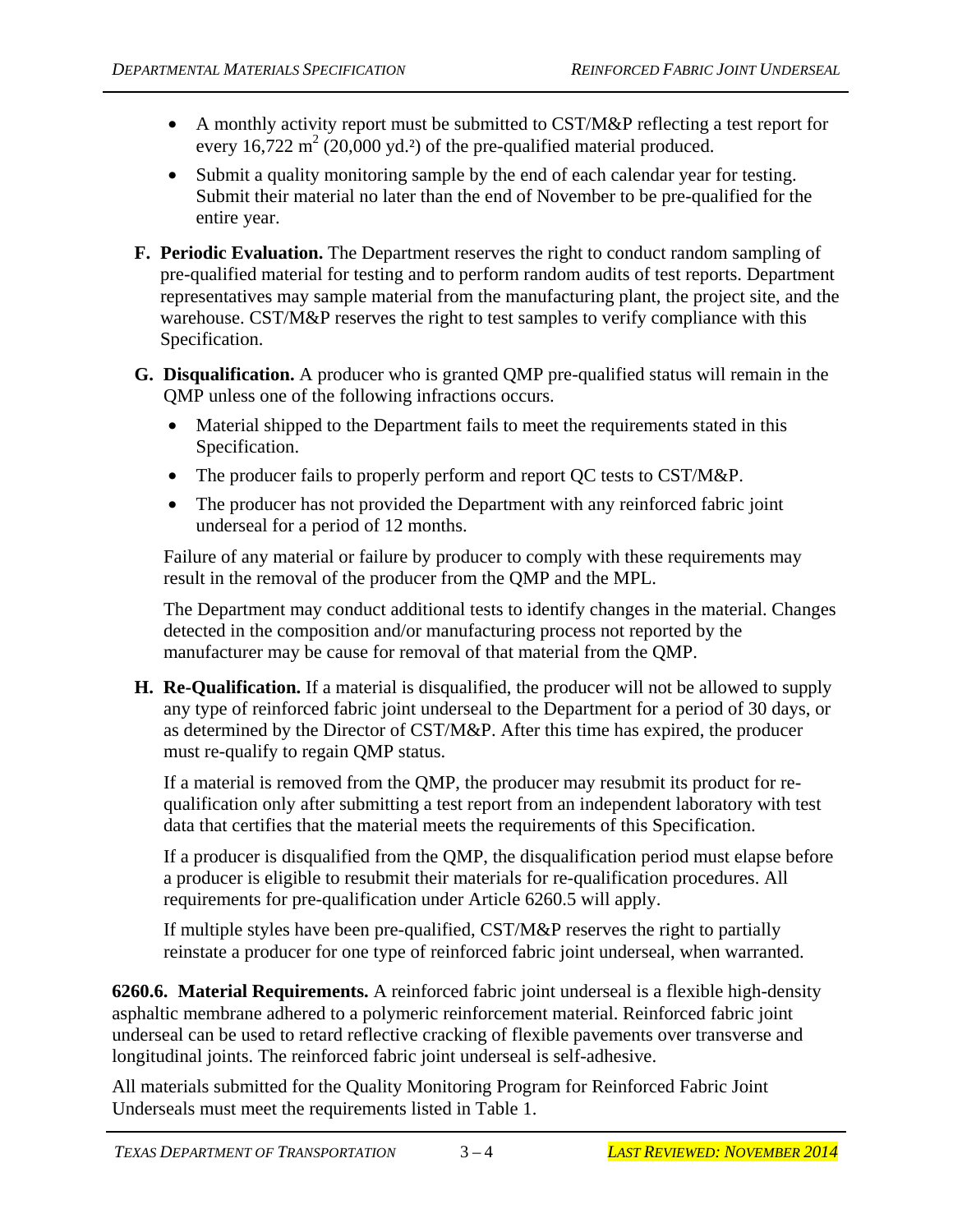- A monthly activity report must be submitted to CST/M&P reflecting a test report for every  $16,722 \text{ m}^2$  (20,000 yd.<sup>2</sup>) of the pre-qualified material produced.
- Submit a quality monitoring sample by the end of each calendar year for testing. Submit their material no later than the end of November to be pre-qualified for the entire year.
- **F. Periodic Evaluation.** The Department reserves the right to conduct random sampling of pre-qualified material for testing and to perform random audits of test reports. Department representatives may sample material from the manufacturing plant, the project site, and the warehouse. CST/M&P reserves the right to test samples to verify compliance with this Specification.
- **G. Disqualification.** A producer who is granted QMP pre-qualified status will remain in the QMP unless one of the following infractions occurs.
	- Material shipped to the Department fails to meet the requirements stated in this Specification.
	- The producer fails to properly perform and report QC tests to CST/M&P.
	- The producer has not provided the Department with any reinforced fabric joint underseal for a period of 12 months.

Failure of any material or failure by producer to comply with these requirements may result in the removal of the producer from the QMP and the MPL.

The Department may conduct additional tests to identify changes in the material. Changes detected in the composition and/or manufacturing process not reported by the manufacturer may be cause for removal of that material from the QMP.

**H. Re-Qualification.** If a material is disqualified, the producer will not be allowed to supply any type of reinforced fabric joint underseal to the Department for a period of 30 days, or as determined by the Director of CST/M&P. After this time has expired, the producer must re-qualify to regain QMP status.

If a material is removed from the QMP, the producer may resubmit its product for requalification only after submitting a test report from an independent laboratory with test data that certifies that the material meets the requirements of this Specification.

If a producer is disqualified from the QMP, the disqualification period must elapse before a producer is eligible to resubmit their materials for re-qualification procedures. All requirements for pre-qualification under Article 6260.5 will apply.

If multiple styles have been pre-qualified, CST/M&P reserves the right to partially reinstate a producer for one type of reinforced fabric joint underseal, when warranted.

**6260.6. Material Requirements.** A reinforced fabric joint underseal is a flexible high-density asphaltic membrane adhered to a polymeric reinforcement material. Reinforced fabric joint underseal can be used to retard reflective cracking of flexible pavements over transverse and longitudinal joints. The reinforced fabric joint underseal is self-adhesive.

All materials submitted for the Quality Monitoring Program for Reinforced Fabric Joint Underseals must meet the requirements listed in Table 1.